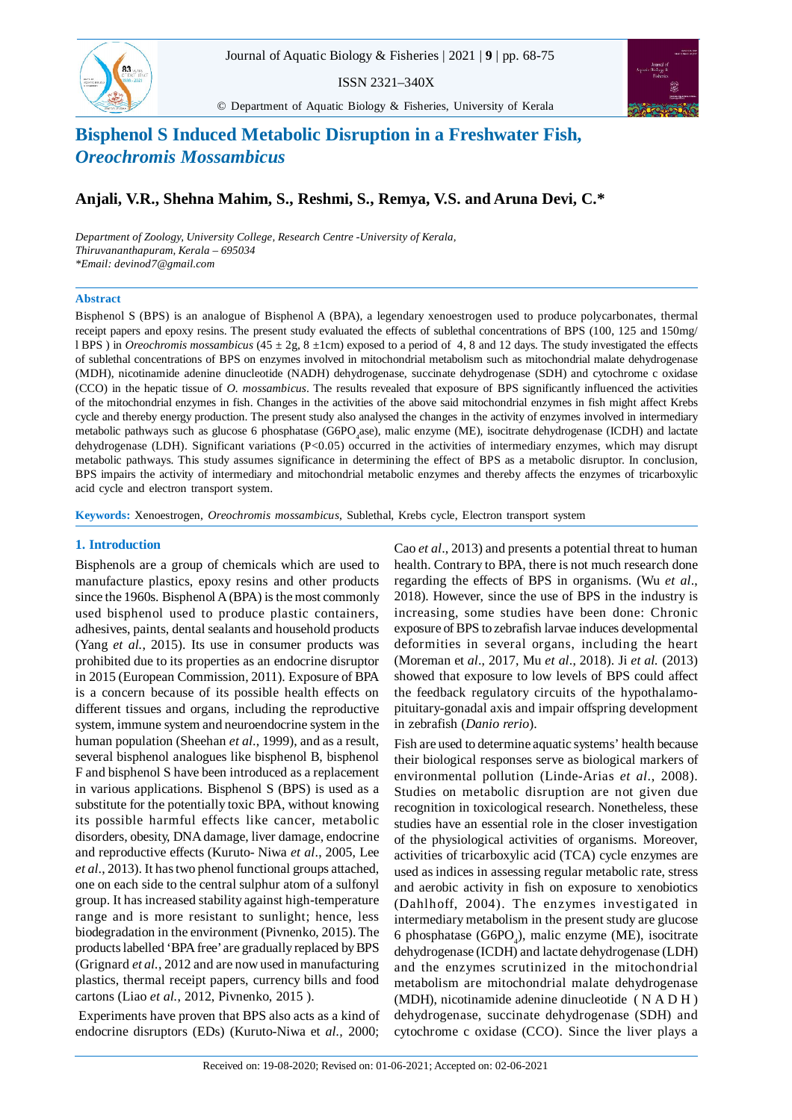$83...$ 

ISSN 2321–340X





# **Bisphenol S Induced Metabolic Disruption in a Freshwater Fish,** *Oreochromis Mossambicus*

# **Anjali, V.R., Shehna Mahim, S., Reshmi, S., Remya, V.S. and Aruna Devi, C.\***

*Department of Zoology, University College, Research Centre -University of Kerala, Thiruvananthapuram, Kerala – 695034 \*Email: devinod7@gmail.com*

Bisphenol S Induced Metabolic Disruption in a Freshwater Fish, *Oreochromis Mossambicus*

#### **Abstract**

Bisphenol S (BPS) is an analogue of Bisphenol A (BPA), a legendary xenoestrogen used to produce polycarbonates, thermal receipt papers and epoxy resins. The present study evaluated the effects of sublethal concentrations of BPS (100, 125 and 150mg/ l BPS ) in *Oreochromis mossambicus* (45 ± 2g, 8 ±1cm) exposed to a period of 4, 8 and 12 days. The study investigated the effects of sublethal concentrations of BPS on enzymes involved in mitochondrial metabolism such as mitochondrial malate dehydrogenase (MDH), nicotinamide adenine dinucleotide (NADH) dehydrogenase, succinate dehydrogenase (SDH) and cytochrome c oxidase (CCO) in the hepatic tissue of *O. mossambicus*. The results revealed that exposure of BPS significantly influenced the activities of the mitochondrial enzymes in fish. Changes in the activities of the above said mitochondrial enzymes in fish might affect Krebs cycle and thereby energy production. The present study also analysed the changes in the activity of enzymes involved in intermediary metabolic pathways such as glucose 6 phosphatase (G6PO<sub>4</sub>ase), malic enzyme (ME), isocitrate dehydrogenase (ICDH) and lactate dehydrogenase (LDH). Significant variations (P<0.05) occurred in the activities of intermediary enzymes, which may disrupt metabolic pathways. This study assumes significance in determining the effect of BPS as a metabolic disruptor. In conclusion, BPS impairs the activity of intermediary and mitochondrial metabolic enzymes and thereby affects the enzymes of tricarboxylic acid cycle and electron transport system.

**Keywords:** Xenoestrogen, *Oreochromis mossambicus*, Sublethal, Krebs cycle, Electron transport system

#### **1. Introduction**

Bisphenols are a group of chemicals which are used to manufacture plastics, epoxy resins and other products since the 1960s. Bisphenol A (BPA) is the most commonly used bisphenol used to produce plastic containers, adhesives, paints, dental sealants and household products (Yang *et al.*, 2015). Its use in consumer products was prohibited due to its properties as an endocrine disruptor in 2015 (European Commission, 2011). Exposure of BPA is a concern because of its possible health effects on different tissues and organs, including the reproductive system, immune system and neuroendocrine system in the human population (Sheehan *et al*., 1999), and as a result, several bisphenol analogues like bisphenol B, bisphenol F and bisphenol S have been introduced as a replacement in various applications. Bisphenol S (BPS) is used as a substitute for the potentially toxic BPA, without knowing its possible harmful effects like cancer, metabolic disorders, obesity, DNA damage, liver damage, endocrine and reproductive effects (Kuruto- Niwa *et al*., 2005, Lee *et al*., 2013). It has two phenol functional groups attached, one on each side to the central sulphur atom of a sulfonyl group. It has increased stability against high-temperature range and is more resistant to sunlight; hence, less biodegradation in the environment (Pivnenko, 2015). The products labelled 'BPA free' are gradually replaced by BPS (Grignard *et al.*, 2012 and are now used in manufacturing plastics, thermal receipt papers, currency bills and food cartons (Liao *et al.*, 2012, Pivnenko, 2015 ).

 Experiments have proven that BPS also acts as a kind of endocrine disruptors (EDs) (Kuruto-Niwa et *al.,* 2000;

Cao *et al*., 2013) and presents a potential threat to human health. Contrary to BPA, there is not much research done regarding the effects of BPS in organisms. (Wu *et al*., 2018). However, since the use of BPS in the industry is increasing, some studies have been done: Chronic exposure of BPS to zebrafish larvae induces developmental deformities in several organs, including the heart (Moreman et *al*., 2017, Mu *et al*., 2018). Ji *et al.* (2013) showed that exposure to low levels of BPS could affect the feedback regulatory circuits of the hypothalamopituitary-gonadal axis and impair offspring development in zebrafish (*Danio rerio*).

Fish are used to determine aquatic systems' health because their biological responses serve as biological markers of environmental pollution (Linde-Arias *et al*., 2008). Studies on metabolic disruption are not given due recognition in toxicological research. Nonetheless, these studies have an essential role in the closer investigation of the physiological activities of organisms. Moreover, activities of tricarboxylic acid (TCA) cycle enzymes are used as indices in assessing regular metabolic rate, stress and aerobic activity in fish on exposure to xenobiotics (Dahlhoff, 2004). The enzymes investigated in intermediary metabolism in the present study are glucose 6 phosphatase  $(G6PO<sub>4</sub>)$ , malic enzyme (ME), isocitrate dehydrogenase (ICDH) and lactate dehydrogenase (LDH) and the enzymes scrutinized in the mitochondrial metabolism are mitochondrial malate dehydrogenase (MDH), nicotinamide adenine dinucleotide ( N A D H ) dehydrogenase, succinate dehydrogenase (SDH) and cytochrome c oxidase (CCO). Since the liver plays a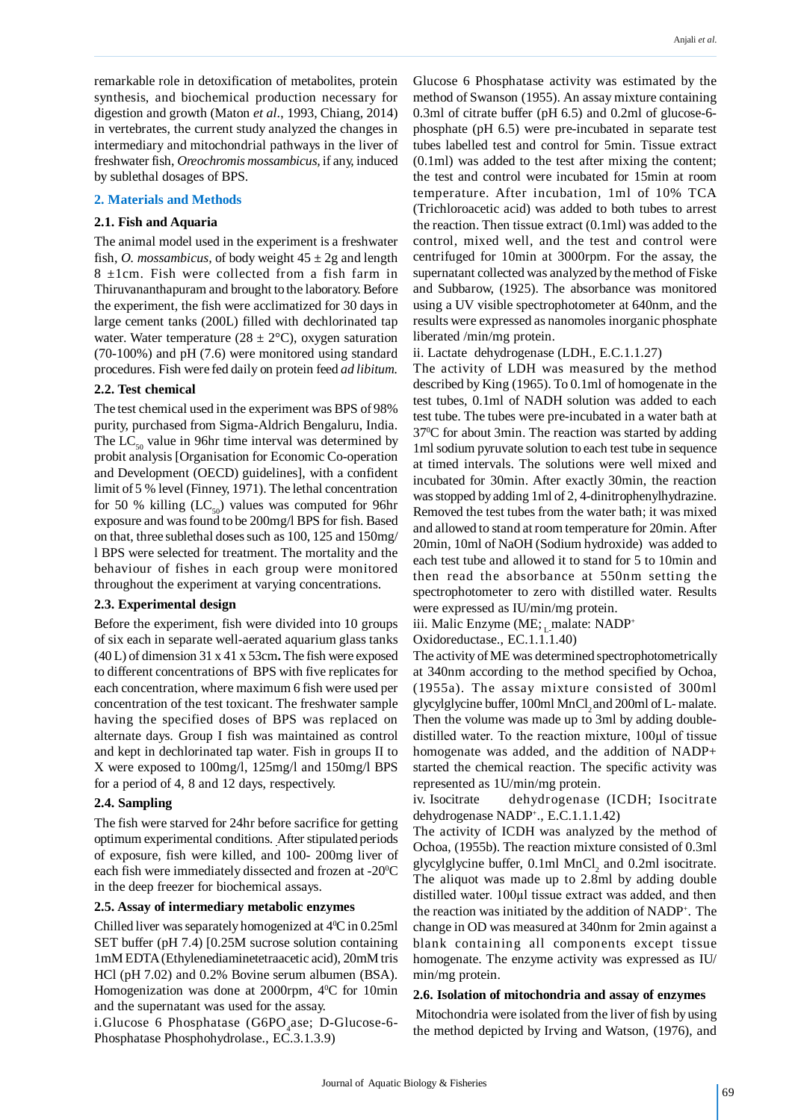remarkable role in detoxification of metabolites, protein synthesis, and biochemical production necessary for digestion and growth (Maton *et al*., 1993, Chiang, 2014) in vertebrates, the current study analyzed the changes in intermediary and mitochondrial pathways in the liver of freshwater fish, *Oreochromis mossambicus,* if any, induced by sublethal dosages of BPS.

#### **2. Materials and Methods**

#### **2.1. Fish and Aquaria**

The animal model used in the experiment is a freshwater fish, *O. mossambicus*, of body weight  $45 \pm 2g$  and length 8 ±1cm. Fish were collected from a fish farm in Thiruvananthapuram and brought to the laboratory. Before the experiment, the fish were acclimatized for 30 days in large cement tanks (200L) filled with dechlorinated tap water. Water temperature  $(28 \pm 2^{\circ}C)$ , oxygen saturation (70-100%) and pH (7.6) were monitored using standard procedures. Fish were fed daily on protein feed *ad libitum.*

# **2.2. Test chemical**

The test chemical used in the experiment was BPS of 98% purity, purchased from Sigma-Aldrich Bengaluru, India. The  $LC_{50}$  value in 96hr time interval was determined by probit analysis [Organisation for Economic Co-operation and Development (OECD) guidelines], with a confident limit of 5 % level (Finney, 1971). The lethal concentration for 50 % killing  $(LC_{50})$  values was computed for 96hr exposure and was found to be 200mg/l BPS for fish. Based on that, three sublethal doses such as 100, 125 and 150mg/ l BPS were selected for treatment. The mortality and the behaviour of fishes in each group were monitored throughout the experiment at varying concentrations.

# **2.3. Experimental design**

Before the experiment, fish were divided into 10 groups of six each in separate well-aerated aquarium glass tanks (40 L) of dimension 31 x 41 x 53cm**.** The fish were exposed to different concentrations of BPS with five replicates for each concentration, where maximum 6 fish were used per concentration of the test toxicant. The freshwater sample having the specified doses of BPS was replaced on alternate days. Group I fish was maintained as control and kept in dechlorinated tap water. Fish in groups II to X were exposed to 100mg/l, 125mg/l and 150mg/l BPS for a period of 4, 8 and 12 days, respectively.

# **2.4. Sampling**

The fish were starved for 24hr before sacrifice for getting optimum experimental conditions. After stipulated periods of exposure, fish were killed, and 100- 200mg liver of each fish were immediately dissected and frozen at -20<sup>o</sup>C in the deep freezer for biochemical assays.

# **2.5. Assay of intermediary metabolic enzymes**

Chilled liver was separately homogenized at  $4^{\circ}$ C in 0.25ml SET buffer (pH 7.4) [0.25M sucrose solution containing 1mM EDTA (Ethylenediaminetetraacetic acid), 20mM tris HCl (pH 7.02) and 0.2% Bovine serum albumen (BSA). Homogenization was done at 2000rpm,  $4^{\circ}C$  for 10min and the supernatant was used for the assay.

 $i$ .Glucose 6 Phosphatase (G6PO<sub>4</sub>ase; D-Glucose-6-Phosphatase Phosphohydrolase., EC.3.1.3.9)

Glucose 6 Phosphatase activity was estimated by the method of Swanson (1955). An assay mixture containing 0.3ml of citrate buffer (pH 6.5) and 0.2ml of glucose-6 phosphate (pH 6.5) were pre-incubated in separate test tubes labelled test and control for 5min. Tissue extract (0.1ml) was added to the test after mixing the content; the test and control were incubated for 15min at room temperature. After incubation, 1ml of 10% TCA (Trichloroacetic acid) was added to both tubes to arrest the reaction. Then tissue extract (0.1ml) was added to the control, mixed well, and the test and control were centrifuged for 10min at 3000rpm. For the assay, the supernatant collected was analyzed by the method of Fiske and Subbarow, (1925). The absorbance was monitored using a UV visible spectrophotometer at 640nm, and the results were expressed as nanomoles inorganic phosphate liberated /min/mg protein.

ii. Lactate dehydrogenase (LDH., E.C.1.1.27)

The activity of LDH was measured by the method described by King (1965). To 0.1ml of homogenate in the test tubes, 0.1ml of NADH solution was added to each test tube. The tubes were pre-incubated in a water bath at 37<sup>0</sup>C for about 3min. The reaction was started by adding 1ml sodium pyruvate solution to each test tube in sequence at timed intervals. The solutions were well mixed and incubated for 30min. After exactly 30min, the reaction was stopped by adding 1ml of 2, 4-dinitrophenylhydrazine. Removed the test tubes from the water bath; it was mixed and allowed to stand at room temperature for 20min. After 20min, 10ml of NaOH (Sodium hydroxide) was added to each test tube and allowed it to stand for 5 to 10min and then read the absorbance at 550nm setting the spectrophotometer to zero with distilled water. Results were expressed as IU/min/mg protein.

iii. Malic Enzyme (ME; malate: NADP+

Oxidoreductase., EC.1.1.1.40)

The activity of ME was determined spectrophotometrically at 340nm according to the method specified by Ochoa, (1955a). The assay mixture consisted of 300ml glycylglycine buffer, 100ml MnCl<sub>2</sub> and 200ml of L- malate. Then the volume was made up to 3ml by adding doubledistilled water. To the reaction mixture, 100µl of tissue homogenate was added, and the addition of NADP+ started the chemical reaction. The specific activity was represented as 1U/min/mg protein.

iv. Isocitrate dehydrogenase (ICDH; Isocitrate dehydrogenase NADP<sup>+</sup> ., E.C.1.1.1.42)

The activity of ICDH was analyzed by the method of Ochoa, (1955b). The reaction mixture consisted of 0.3ml glycylglycine buffer,  $0.1$ ml MnCl<sub>2</sub> and  $0.2$ ml isocitrate. The aliquot was made up to 2.8ml by adding double distilled water. 100µl tissue extract was added, and then the reaction was initiated by the addition of NADP<sup>+</sup> . The change in OD was measured at 340nm for 2min against a blank containing all components except tissue homogenate. The enzyme activity was expressed as IU/ min/mg protein.

# **2.6. Isolation of mitochondria and assay of enzymes**

 Mitochondria were isolated from the liver of fish by using the method depicted by Irving and Watson, (1976), and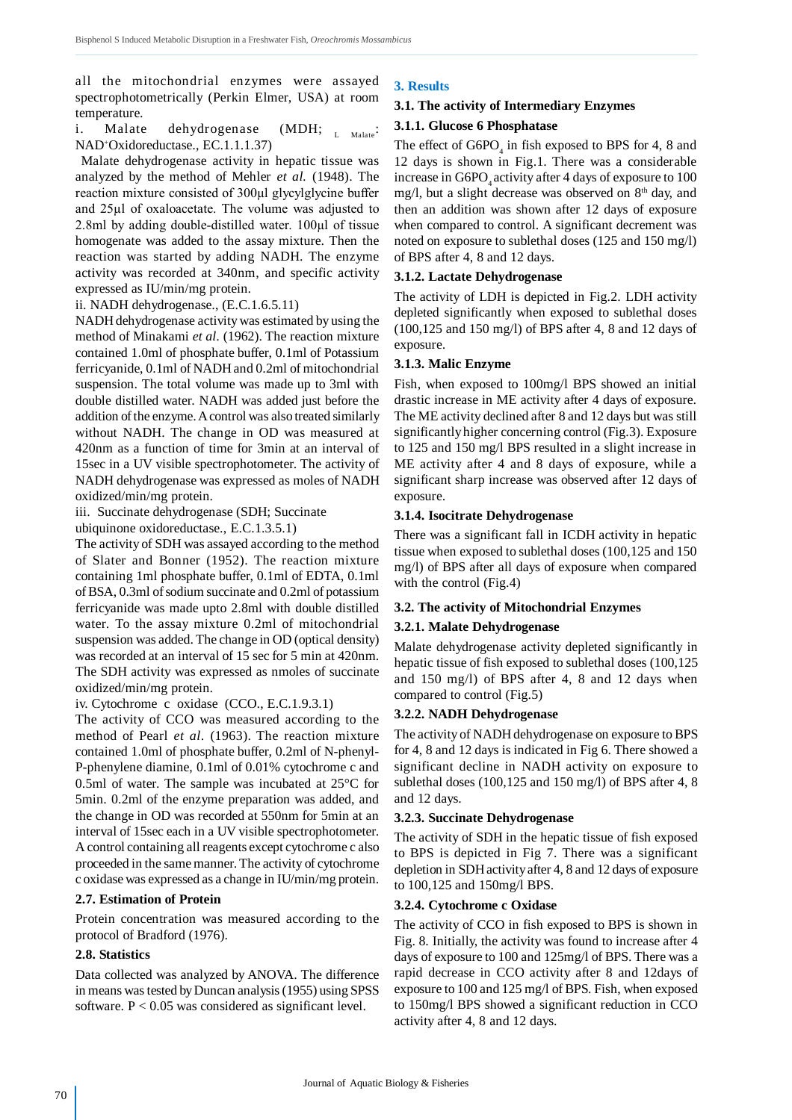all the mitochondrial enzymes were assayed spectrophotometrically (Perkin Elmer, USA) at room temperature.

i. Malate dehydrogenase (MDH; L Malate: NAD<sup>+</sup>Oxidoreductase., EC.1.1.1.37)

 Malate dehydrogenase activity in hepatic tissue was analyzed by the method of Mehler *et al.* (1948). The reaction mixture consisted of 300µl glycylglycine buffer and 25µl of oxaloacetate. The volume was adjusted to 2.8ml by adding double-distilled water. 100µl of tissue homogenate was added to the assay mixture. Then the reaction was started by adding NADH. The enzyme activity was recorded at 340nm, and specific activity expressed as IU/min/mg protein.

#### ii. NADH dehydrogenase., (E.C.1.6.5.11)

NADH dehydrogenase activity was estimated by using the method of Minakami *et al*. (1962). The reaction mixture contained 1.0ml of phosphate buffer, 0.1ml of Potassium ferricyanide, 0.1ml of NADH and 0.2ml of mitochondrial suspension. The total volume was made up to 3ml with double distilled water. NADH was added just before the addition of the enzyme. A control was also treated similarly without NADH. The change in OD was measured at 420nm as a function of time for 3min at an interval of 15sec in a UV visible spectrophotometer. The activity of NADH dehydrogenase was expressed as moles of NADH oxidized/min/mg protein.

iii. Succinate dehydrogenase (SDH; Succinate

ubiquinone oxidoreductase., E.C.1.3.5.1)

The activity of SDH was assayed according to the method of Slater and Bonner (1952). The reaction mixture containing 1ml phosphate buffer, 0.1ml of EDTA, 0.1ml of BSA, 0.3ml of sodium succinate and 0.2ml of potassium ferricyanide was made upto 2.8ml with double distilled water. To the assay mixture 0.2ml of mitochondrial suspension was added. The change in OD (optical density) was recorded at an interval of 15 sec for 5 min at 420nm. The SDH activity was expressed as nmoles of succinate oxidized/min/mg protein.

iv. Cytochrome c oxidase (CCO., E.C.1.9.3.1)

The activity of CCO was measured according to the method of Pearl *et al*. (1963). The reaction mixture contained 1.0ml of phosphate buffer, 0.2ml of N-phenyl-P-phenylene diamine, 0.1ml of 0.01% cytochrome c and 0.5ml of water. The sample was incubated at 25°C for 5min. 0.2ml of the enzyme preparation was added, and the change in OD was recorded at 550nm for 5min at an interval of 15sec each in a UV visible spectrophotometer. A control containing all reagents except cytochrome c also proceeded in the same manner. The activity of cytochrome c oxidase was expressed as a change in IU/min/mg protein.

# **2.7. Estimation of Protein**

Protein concentration was measured according to the protocol of Bradford (1976).

# **2.8. Statistics**

Data collected was analyzed by ANOVA. The difference in means was tested by Duncan analysis (1955) using SPSS software.  $P < 0.05$  was considered as significant level.

# **3. Results**

#### **3.1. The activity of Intermediary Enzymes**

# **3.1.1. Glucose 6 Phosphatase**

The effect of  $G6PO<sub>4</sub>$  in fish exposed to BPS for 4, 8 and 12 days is shown in Fig.1. There was a considerable increase in  $G6PO<sub>4</sub>$  activity after 4 days of exposure to 100 mg/l, but a slight decrease was observed on  $8<sup>th</sup>$  day, and then an addition was shown after 12 days of exposure when compared to control. A significant decrement was noted on exposure to sublethal doses (125 and 150 mg/l) of BPS after 4, 8 and 12 days.

#### **3.1.2. Lactate Dehydrogenase**

The activity of LDH is depicted in Fig.2. LDH activity depleted significantly when exposed to sublethal doses (100,125 and 150 mg/l) of BPS after 4, 8 and 12 days of exposure.

#### **3.1.3. Malic Enzyme**

Fish, when exposed to 100mg/l BPS showed an initial drastic increase in ME activity after 4 days of exposure. The ME activity declined after 8 and 12 days but was still significantly higher concerning control (Fig.3). Exposure to 125 and 150 mg/l BPS resulted in a slight increase in ME activity after 4 and 8 days of exposure, while a significant sharp increase was observed after 12 days of exposure.

#### **3.1.4. Isocitrate Dehydrogenase**

There was a significant fall in ICDH activity in hepatic tissue when exposed to sublethal doses (100,125 and 150 mg/l) of BPS after all days of exposure when compared with the control (Fig.4)

# **3.2. The activity of Mitochondrial Enzymes**

# **3.2.1. Malate Dehydrogenase**

Malate dehydrogenase activity depleted significantly in hepatic tissue of fish exposed to sublethal doses (100,125 and 150 mg/l) of BPS after 4, 8 and 12 days when compared to control (Fig.5)

#### **3.2.2. NADH Dehydrogenase**

The activity of NADH dehydrogenase on exposure to BPS for 4, 8 and 12 days is indicated in Fig 6. There showed a significant decline in NADH activity on exposure to sublethal doses (100,125 and 150 mg/l) of BPS after 4, 8 and 12 days.

# **3.2.3. Succinate Dehydrogenase**

The activity of SDH in the hepatic tissue of fish exposed to BPS is depicted in Fig 7. There was a significant depletion in SDH activity after 4, 8 and 12 days of exposure to 100,125 and 150mg/l BPS.

# **3.2.4. Cytochrome c Oxidase**

The activity of CCO in fish exposed to BPS is shown in Fig. 8. Initially, the activity was found to increase after 4 days of exposure to 100 and 125mg/l of BPS. There was a rapid decrease in CCO activity after 8 and 12days of exposure to 100 and 125 mg/l of BPS. Fish, when exposed to 150mg/l BPS showed a significant reduction in CCO activity after 4, 8 and 12 days.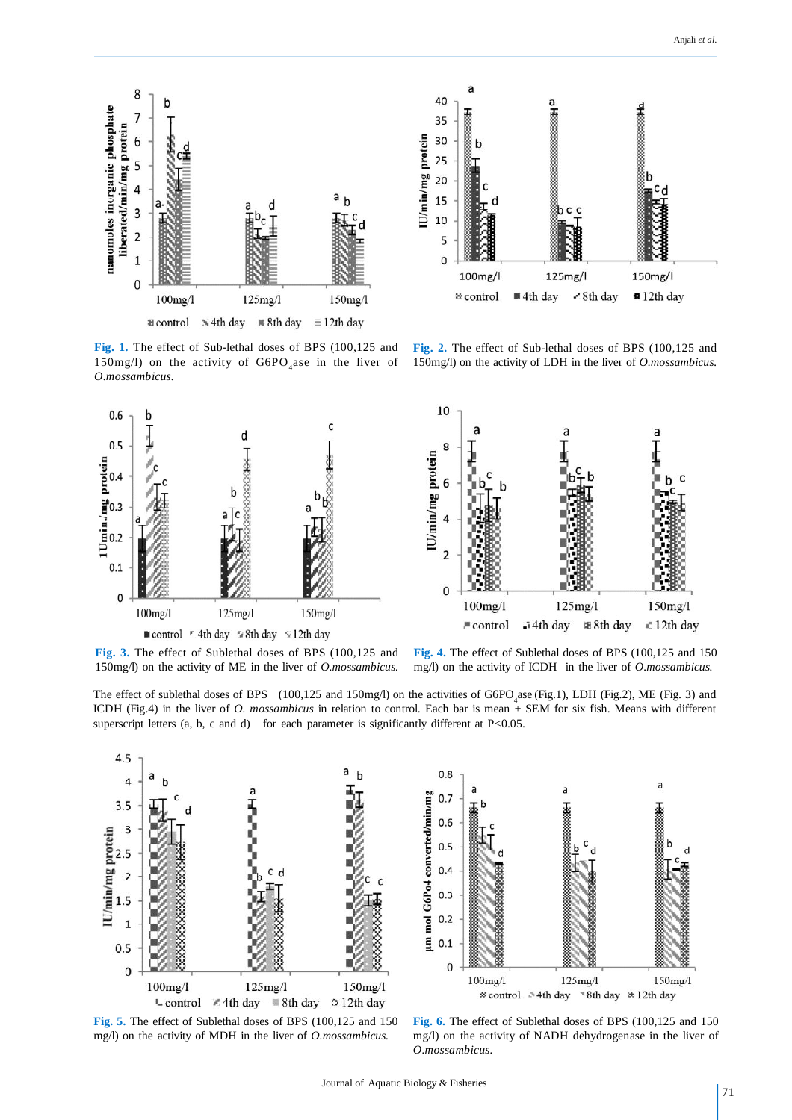



**Fig. 1.** The effect of Sub-lethal doses of BPS (100,125 and 150mg/l) on the activity of  $G6PO<sub>4</sub>$ ase in the liver of *O.mossambicus.*



**Fig. 2.** The effect of Sub-lethal doses of BPS (100,125 and 150mg/l) on the activity of LDH in the liver of *O.mossambicus.*



**Fig. 3.** The effect of Sublethal doses of BPS (100,125 and 150mg/l) on the activity of ME in the liver of *O.mossambicus.*

**Fig. 4.** The effect of Sublethal doses of BPS (100,125 and 150 mg/l) on the activity of ICDH in the liver of *O.mossambicus.*

The effect of sublethal doses of BPS  $(100, 125 \text{ and } 150 \text{ mg/l})$  on the activities of  $G6PO_4$  ase (Fig.1), LDH (Fig.2), ME (Fig. 3) and ICDH (Fig.4) in the liver of *O. mossambicus* in relation to control. Each bar is mean ± SEM for six fish. Means with different superscript letters  $(a, b, c, and d)$  for each parameter is significantly different at P $<0.05$ .





**Fig. 5.** The effect of Sublethal doses of BPS (100,125 and 150 mg/l) on the activity of MDH in the liver of *O.mossambicus.*

**Fig. 6.** The effect of Sublethal doses of BPS (100,125 and 150 mg/l) on the activity of NADH dehydrogenase in the liver of *O.mossambicus.*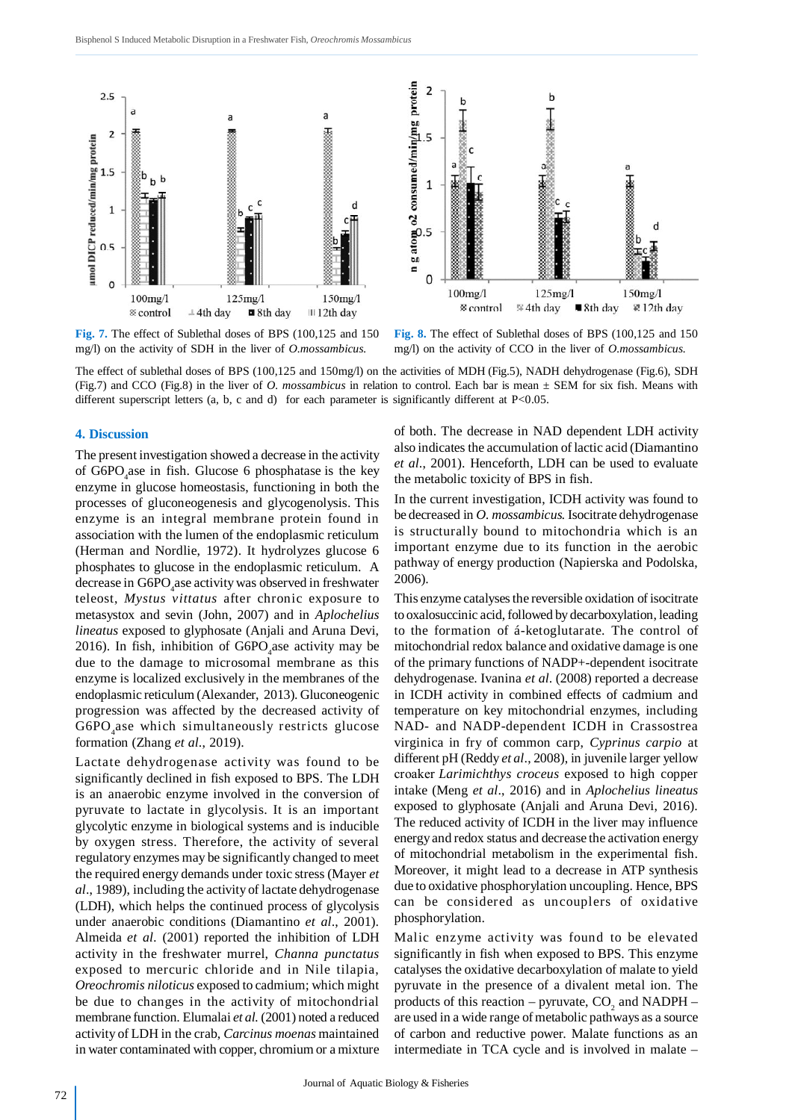



**Fig. 7.** The effect of Sublethal doses of BPS (100,125 and 150 mg/l) on the activity of SDH in the liver of *O.mossambicus.*

**Fig. 8.** The effect of Sublethal doses of BPS (100,125 and 150 mg/l) on the activity of CCO in the liver of *O.mossambicus.*

The effect of sublethal doses of BPS (100,125 and 150mg/l) on the activities of MDH (Fig.5), NADH dehydrogenase (Fig.6), SDH (Fig.7) and CCO (Fig.8) in the liver of *O. mossambicus* in relation to control. Each bar is mean ± SEM for six fish. Means with different superscript letters (a, b, c and d) for each parameter is significantly different at P<0.05.

The present investigation showed a decrease in the activity of G6PO<sub>4</sub> ase in fish. Glucose 6 phosphatase is the key enzyme in glucose homeostasis, functioning in both the processes of gluconeogenesis and glycogenolysis. This enzyme is an integral membrane protein found in association with the lumen of the endoplasmic reticulum (Herman and Nordlie, 1972). It hydrolyzes glucose 6 phosphates to glucose in the endoplasmic reticulum. A decrease in G6PO<sub>4</sub>ase activity was observed in freshwater teleost, *Mystus vittatus* after chronic exposure to metasystox and sevin (John, 2007) and in *Aplochelius lineatus* exposed to glyphosate (Anjali and Aruna Devi, 2016). In fish, inhibition of  $G6PO<sub>4</sub>$  ase activity may be due to the damage to microsomal membrane as this enzyme is localized exclusively in the membranes of the endoplasmic reticulum (Alexander, 2013). Gluconeogenic progression was affected by the decreased activity of G6PO<sub>4</sub>ase which simultaneously restricts glucose formation (Zhang *et al*., 2019).

Lactate dehydrogenase activity was found to be significantly declined in fish exposed to BPS. The LDH is an anaerobic enzyme involved in the conversion of pyruvate to lactate in glycolysis. It is an important glycolytic enzyme in biological systems and is inducible by oxygen stress. Therefore, the activity of several regulatory enzymes may be significantly changed to meet the required energy demands under toxic stress (Mayer *et al*., 1989), including the activity of lactate dehydrogenase (LDH), which helps the continued process of glycolysis under anaerobic conditions (Diamantino *et al*., 2001). Almeida *et al.* (2001) reported the inhibition of LDH activity in the freshwater murrel, *Channa punctatus* exposed to mercuric chloride and in Nile tilapia, *Oreochromis niloticus* exposed to cadmium; which might be due to changes in the activity of mitochondrial membrane function. Elumalai *et al.* (2001) noted a reduced activity of LDH in the crab, *Carcinus moenas* maintained in water contaminated with copper, chromium or a mixture

**4. Discussion** of both. The decrease in NAD dependent LDH activity also indicates the accumulation of lactic acid (Diamantino *et al*., 2001). Henceforth, LDH can be used to evaluate the metabolic toxicity of BPS in fish.

> In the current investigation, ICDH activity was found to be decreased in *O. mossambicus.* Isocitrate dehydrogenase is structurally bound to mitochondria which is an important enzyme due to its function in the aerobic pathway of energy production (Napierska and Podolska, 2006).

> This enzyme catalyses the reversible oxidation of isocitrate to oxalosuccinic acid, followed by decarboxylation, leading to the formation of á-ketoglutarate. The control of mitochondrial redox balance and oxidative damage is one of the primary functions of NADP+-dependent isocitrate dehydrogenase. Ivanina *et al*. (2008) reported a decrease in ICDH activity in combined effects of cadmium and temperature on key mitochondrial enzymes, including NAD- and NADP-dependent ICDH in Crassostrea virginica in fry of common carp, *Cyprinus carpio* at different pH (Reddy *et al*., 2008), in juvenile larger yellow croaker *Larimichthys croceus* exposed to high copper intake (Meng *et al*., 2016) and in *Aplochelius lineatus* exposed to glyphosate (Anjali and Aruna Devi, 2016). The reduced activity of ICDH in the liver may influence energy and redox status and decrease the activation energy of mitochondrial metabolism in the experimental fish. Moreover, it might lead to a decrease in ATP synthesis due to oxidative phosphorylation uncoupling. Hence, BPS can be considered as uncouplers of oxidative phosphorylation.

> Malic enzyme activity was found to be elevated significantly in fish when exposed to BPS. This enzyme catalyses the oxidative decarboxylation of malate to yield pyruvate in the presence of a divalent metal ion. The products of this reaction – pyruvate,  $CO_2$  and NADPH – are used in a wide range of metabolic pathways as a source of carbon and reductive power. Malate functions as an intermediate in TCA cycle and is involved in malate –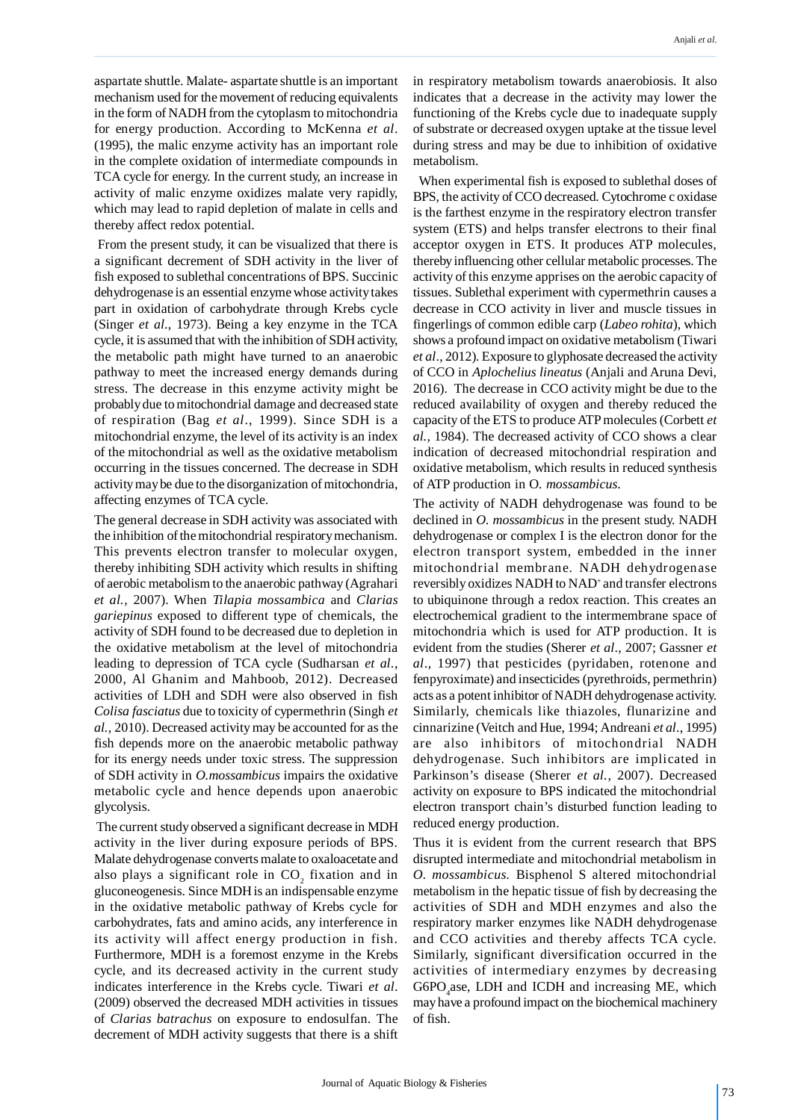aspartate shuttle. Malate- aspartate shuttle is an important mechanism used for the movement of reducing equivalents in the form of NADH from the cytoplasm to mitochondria for energy production. According to McKenna *et al*. (1995), the malic enzyme activity has an important role in the complete oxidation of intermediate compounds in TCA cycle for energy. In the current study, an increase in activity of malic enzyme oxidizes malate very rapidly, which may lead to rapid depletion of malate in cells and thereby affect redox potential.

 From the present study, it can be visualized that there is a significant decrement of SDH activity in the liver of fish exposed to sublethal concentrations of BPS. Succinic dehydrogenase is an essential enzyme whose activity takes part in oxidation of carbohydrate through Krebs cycle (Singer *et al*., 1973). Being a key enzyme in the TCA cycle, it is assumed that with the inhibition of SDH activity, the metabolic path might have turned to an anaerobic pathway to meet the increased energy demands during stress. The decrease in this enzyme activity might be probably due to mitochondrial damage and decreased state of respiration (Bag *et al*., 1999). Since SDH is a mitochondrial enzyme, the level of its activity is an index of the mitochondrial as well as the oxidative metabolism occurring in the tissues concerned. The decrease in SDH activity may be due to the disorganization of mitochondria, affecting enzymes of TCA cycle.

The general decrease in SDH activity was associated with the inhibition of the mitochondrial respiratory mechanism. This prevents electron transfer to molecular oxygen, thereby inhibiting SDH activity which results in shifting of aerobic metabolism to the anaerobic pathway (Agrahari *et al.,* 2007). When *Tilapia mossambica* and *Clarias gariepinus* exposed to different type of chemicals, the activity of SDH found to be decreased due to depletion in the oxidative metabolism at the level of mitochondria leading to depression of TCA cycle (Sudharsan *et al*., 2000, Al Ghanim and Mahboob, 2012). Decreased activities of LDH and SDH were also observed in fish *Colisa fasciatus* due to toxicity of cypermethrin (Singh *et al.*, 2010). Decreased activity may be accounted for as the fish depends more on the anaerobic metabolic pathway for its energy needs under toxic stress. The suppression of SDH activity in *O.mossambicus* impairs the oxidative metabolic cycle and hence depends upon anaerobic glycolysis.

 The current study observed a significant decrease in MDH activity in the liver during exposure periods of BPS. Malate dehydrogenase converts malate to oxaloacetate and also plays a significant role in  $CO_2$  fixation and in gluconeogenesis. Since MDH is an indispensable enzyme in the oxidative metabolic pathway of Krebs cycle for carbohydrates, fats and amino acids, any interference in its activity will affect energy production in fish. Furthermore, MDH is a foremost enzyme in the Krebs cycle, and its decreased activity in the current study indicates interference in the Krebs cycle. Tiwari *et al*. (2009) observed the decreased MDH activities in tissues of *Clarias batrachus* on exposure to endosulfan. The decrement of MDH activity suggests that there is a shift in respiratory metabolism towards anaerobiosis. It also indicates that a decrease in the activity may lower the functioning of the Krebs cycle due to inadequate supply of substrate or decreased oxygen uptake at the tissue level during stress and may be due to inhibition of oxidative metabolism.

 When experimental fish is exposed to sublethal doses of BPS, the activity of CCO decreased. Cytochrome c oxidase is the farthest enzyme in the respiratory electron transfer system (ETS) and helps transfer electrons to their final acceptor oxygen in ETS. It produces ATP molecules, thereby influencing other cellular metabolic processes. The activity of this enzyme apprises on the aerobic capacity of tissues. Sublethal experiment with cypermethrin causes a decrease in CCO activity in liver and muscle tissues in fingerlings of common edible carp (*Labeo rohita*), which shows a profound impact on oxidative metabolism (Tiwari *et al*., 2012). Exposure to glyphosate decreased the activity of CCO in *Aplochelius lineatus* (Anjali and Aruna Devi, 2016). The decrease in CCO activity might be due to the reduced availability of oxygen and thereby reduced the capacity of the ETS to produce ATP molecules (Corbett *et al.,* 1984). The decreased activity of CCO shows a clear indication of decreased mitochondrial respiration and oxidative metabolism, which results in reduced synthesis of ATP production in O*. mossambicus*.

The activity of NADH dehydrogenase was found to be declined in *O. mossambicus* in the present study. NADH dehydrogenase or complex I is the electron donor for the electron transport system, embedded in the inner mitochondrial membrane. NADH dehydrogenase reversibly oxidizes NADH to NAD<sup>+</sup>and transfer electrons to ubiquinone through a redox reaction. This creates an electrochemical gradient to the intermembrane space of mitochondria which is used for ATP production. It is evident from the studies (Sherer *et al*., 2007; Gassner *et al*., 1997) that pesticides (pyridaben, rotenone and fenpyroximate) and insecticides (pyrethroids, permethrin) acts as a potent inhibitor of NADH dehydrogenase activity. Similarly, chemicals like thiazoles, flunarizine and cinnarizine (Veitch and Hue, 1994; Andreani *et al*., 1995) are also inhibitors of mitochondrial NADH dehydrogenase. Such inhibitors are implicated in Parkinson's disease (Sherer *et al.,* 2007). Decreased activity on exposure to BPS indicated the mitochondrial electron transport chain's disturbed function leading to reduced energy production.

Thus it is evident from the current research that BPS disrupted intermediate and mitochondrial metabolism in *O. mossambicus.* Bisphenol S altered mitochondrial metabolism in the hepatic tissue of fish by decreasing the activities of SDH and MDH enzymes and also the respiratory marker enzymes like NADH dehydrogenase and CCO activities and thereby affects TCA cycle. Similarly, significant diversification occurred in the activities of intermediary enzymes by decreasing  $G6PO<sub>4</sub>ase$ , LDH and ICDH and increasing ME, which may have a profound impact on the biochemical machinery of fish.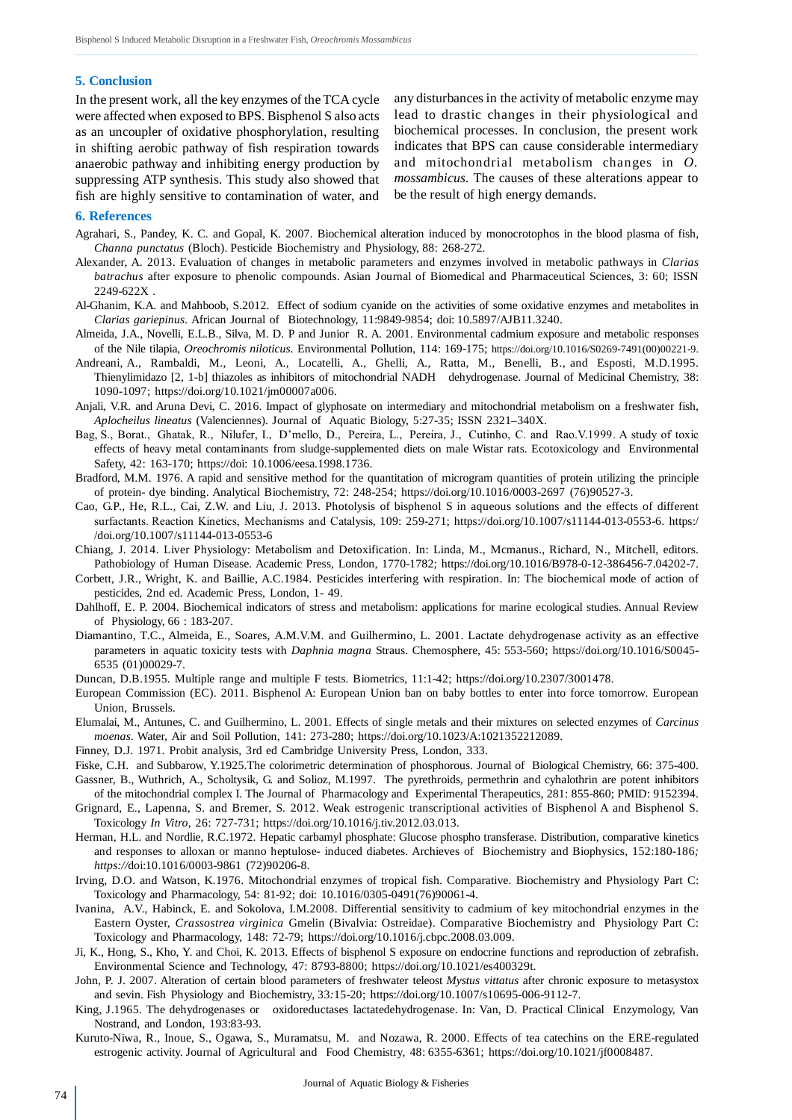#### **5. Conclusion**

In the present work, all the key enzymes of the TCA cycle were affected when exposed to BPS. Bisphenol S also acts as an uncoupler of oxidative phosphorylation, resulting in shifting aerobic pathway of fish respiration towards anaerobic pathway and inhibiting energy production by suppressing ATP synthesis. This study also showed that fish are highly sensitive to contamination of water, and

any disturbances in the activity of metabolic enzyme may lead to drastic changes in their physiological and biochemical processes. In conclusion, the present work indicates that BPS can cause considerable intermediary and mitochondrial metabolism changes in *O. mossambicus*. The causes of these alterations appear to be the result of high energy demands.

#### **6. References**

- Agrahari, S., Pandey, K. C. and Gopal, K. 2007. Biochemical alteration induced by monocrotophos in the blood plasma of fish, *Channa punctatus* (Bloch). Pesticide Biochemistry and Physiology, 88: 268-272.
- Alexander, A. 2013. Evaluation of changes in metabolic parameters and enzymes involved in metabolic pathways in *Clarias batrachus* after exposure to phenolic compounds. Asian Journal of Biomedical and Pharmaceutical Sciences, 3: 60; ISSN 2249-622X .
- Al-Ghanim, K.A. and Mahboob, S.2012. Effect of sodium cyanide on the activities of some oxidative enzymes and metabolites in *Clarias gariepinus*. African Journal of Biotechnology, 11:9849-9854; doi: 10.5897/AJB11.3240.
- Almeida, J.A., Novelli, E.L.B., Silva, M. D. P and Junior R. A. 2001. Environmental cadmium exposure and metabolic responses of the Nile tilapia, *Oreochromis niloticus*. Environmental Pollution, 114: 169-175; https://doi.org/10.1016/S0269-7491(00)00221-9.
- Andreani, A., Rambaldi, M., Leoni, A., Locatelli, A., Ghelli, A., Ratta, M., Benelli, B., and Esposti, M.D.1995. Thienylimidazo [2, 1-b] thiazoles as inhibitors of mitochondrial NADH dehydrogenase. Journal of Medicinal Chemistry, 38: 1090-1097; https://doi.org/10.1021/jm00007a006.
- Anjali, V.R. and Aruna Devi, C. 2016. Impact of glyphosate on intermediary and mitochondrial metabolism on a freshwater fish, *Aplocheilus lineatus* (Valenciennes). Journal of Aquatic Biology, 5:27-35; ISSN 2321–340X.
- Bag, S., Borat., Ghatak, R., Nilufer, I., D'mello, D., Pereira, L., Pereira, J., Cutinho, C. and Rao.V.1999. A study of toxic effects of heavy metal contaminants from sludge-supplemented diets on male Wistar rats. Ecotoxicology and Environmental Safety, 42: 163-170; https://doi: 10.1006/eesa.1998.1736.
- Bradford, M.M. 1976. A rapid and sensitive method for the quantitation of microgram quantities of protein utilizing the principle of protein- dye binding. Analytical Biochemistry, 72: 248-254; https://doi.org/10.1016/0003-2697 (76)90527-3.
- Cao, G.P., He, R.L., Cai, Z.W. and Liu, J. 2013. Photolysis of bisphenol S in aqueous solutions and the effects of different surfactants. Reaction Kinetics, Mechanisms and Catalysis*,* 109: 259-271; https://doi.org/10.1007/s11144-013-0553-6. https:/ /doi.org/10.1007/s11144-013-0553-6
- Chiang, J. 2014. Liver Physiology: Metabolism and Detoxification. In: Linda, M., Mcmanus., Richard, N., Mitchell, editors. Pathobiology of Human Disease. Academic Press, London, 1770-1782; https://doi.org/10.1016/B978-0-12-386456-7.04202-7.
- Corbett, J.R., Wright, K. and Baillie, A.C.1984. Pesticides interfering with respiration. In: The biochemical mode of action of pesticides, 2nd ed. Academic Press, London, 1- 49.
- Dahlhoff, E. P. 2004. Biochemical indicators of stress and metabolism: applications for marine ecological studies. Annual Review of Physiology, 66 : 183-207.
- Diamantino, T.C., Almeida, E., Soares, A.M.V.M. and Guilhermino, L. 2001. Lactate dehydrogenase activity as an effective parameters in aquatic toxicity tests with *Daphnia magna* Straus. Chemosphere, 45: 553-560; https://doi.org/10.1016/S0045- 6535 (01)00029-7.
- Duncan, D.B.1955. Multiple range and multiple F tests. Biometrics, 11:1-42; https://doi.org/10.2307/3001478.
- European Commission (EC). 2011. Bisphenol A: European Union ban on baby bottles to enter into force tomorrow. European Union, Brussels.
- Elumalai, M., Antunes, C. and Guilhermino, L. 2001. Effects of single metals and their mixtures on selected enzymes of *Carcinus moenas*. Water, Air and Soil Pollution, 141: 273-280; https://doi.org/10.1023/A:1021352212089.
- Finney, D.J. 1971. Probit analysis, 3rd ed Cambridge University Press, London, 333.
- Fiske, C.H. and Subbarow, Y.1925.The colorimetric determination of phosphorous. Journal of Biological Chemistry, 66: 375-400.

Gassner, B., Wuthrich, A., Scholtysik, G. and Solioz, M.1997. The pyrethroids, permethrin and cyhalothrin are potent inhibitors of the mitochondrial complex I. The Journal of Pharmacology and Experimental Therapeutics, 281: 855-860; PMID: 9152394.

- Grignard, E., Lapenna, S. and Bremer, S. 2012. Weak estrogenic transcriptional activities of Bisphenol A and Bisphenol S. Toxicology *In Vitro*, 26: 727-731; https://doi.org/10.1016/j.tiv.2012.03.013.
- Herman, H.L. and Nordlie, R.C.1972. Hepatic carbamyl phosphate: Glucose phospho transferase. Distribution, comparative kinetics and responses to alloxan or manno heptulose- induced diabetes. Archieves of Biochemistry and Biophysics, 152:180-186*; https://*doi:10.1016/0003-9861 (72)90206-8.
- Irving, D.O. and Watson, K.1976. Mitochondrial enzymes of tropical fish. Comparative. Biochemistry and Physiology Part C: Toxicology and Pharmacology, 54: 81-92; doi: 10.1016/0305-0491(76)90061-4.
- Ivanina, A.V., Habinck, E. and Sokolova, I.M.2008. Differential sensitivity to cadmium of key mitochondrial enzymes in the Eastern Oyster, *Crassostrea virginica* Gmelin (Bivalvia: Ostreidae). Comparative Biochemistry and Physiology Part C: Toxicology and Pharmacology, 148: 72-79; https://doi.org/10.1016/j.cbpc.2008.03.009.
- Ji, K., Hong, S., Kho, Y. and Choi, K. 2013. Effects of bisphenol S exposure on endocrine functions and reproduction of zebrafish. Environmental Science and Technology, 47: 8793-8800; https://doi.org/10.1021/es400329t.
- John, P. J. 2007. Alteration of certain blood parameters of freshwater teleost *Mystus vittatus* after chronic exposure to metasystox and sevin. Fish Physiology and Biochemistry, 33*:*15-20; https://doi.org/10.1007/s10695-006-9112-7.
- King, J.1965. The dehydrogenases or oxidoreductases lactatedehydrogenase. In: Van, D. Practical Clinical Enzymology, Van Nostrand, and London, 193:83-93.
- Kuruto-Niwa, R., Inoue, S., Ogawa, S., Muramatsu, M. and Nozawa, R. 2000. Effects of tea catechins on the ERE-regulated estrogenic activity. Journal of Agricultural and Food Chemistry*,* 48: 6355-6361; https://doi.org/10.1021/jf0008487.